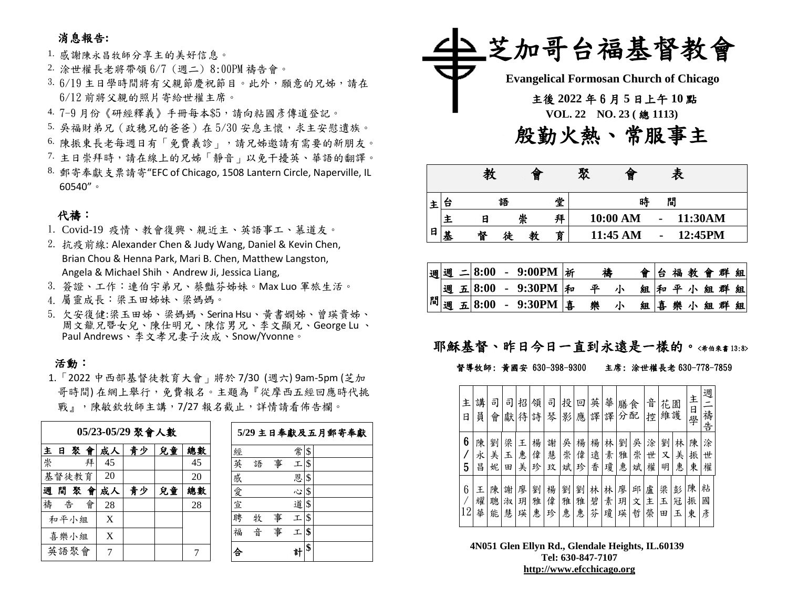### 消息報告**:**

1. 感謝陳永昌牧師分享主的美好信息。

- 2. 涂世權長老將帶領 6/7 (週二) 8:00PM 禱告會。
- 3. 6/19 主日學時間將有父親節慶祝節目。此外,願意的兄姊,請在 6/12 前將父親的照片寄給世權主席。
- 4. 7-9 月份《研經釋義》手冊每本\$5,請向粘國彥傳道登記。
- 5. 吳福財弟兄(政穗兄的爸爸)在 5/30 安息主懷,求主安慰遺族。
- 6. 陳振東長老每週日有「免費義診」,請兄姊邀請有需要的新朋友。
- 7. 主日崇拜時,請在線上的兄姊「靜音」以免干擾英、華語的翻譯。
- 8. 郵寄奉獻支票請寄"EFC of Chicago, 1508 Lantern Circle, Naperville, IL 60540"。

#### 代禱:

- 1. Covid-19 疫情、教會復興、親近主、英語事工、慕道友。
- 2. 抗疫前線: Alexander Chen & Judy Wang, Daniel & Kevin Chen, Brian Chou & Henna Park, Mari B. Chen, Matthew Langston, Angela & Michael Shih、Andrew Ji, Jessica Liang,
- 3. 簽證、工作:連伯宇弟兄、蔡豔芬姊妹。Max Luo 軍旅生活。
- 4. 屬靈成長:梁玉田姊妹、梁媽媽。
- 5. 欠安復健:梁玉田姊、梁媽媽、Serina Hsu、黃書嫻姊、曾瑛貴姊、 周文龍兄暨女兒、陳仕明兄、陳信男兄、李文顯兄、George Lu 、 Paul Andrews、李文孝兄妻子汝成、Snow/Yvonne。

#### 活動:

1.「2022 中西部基督徒教育大會」將於 7/30 (週六) 9am-5pm (芝加 哥時間) 在網上舉行,免費報名。主題為『從摩西五經回應時代挑 戰』,陳敏欽牧師主講,7/27報名截止,詳情請看佈告欄。

| 05/23-05/29 聚會人數 |    |       |    |    |    |    |    |  |  |  |
|------------------|----|-------|----|----|----|----|----|--|--|--|
|                  | 主日 |       | 聚會 | 成人 | 青少 | 兒童 | 總數 |  |  |  |
| 崇                |    |       | 拜  | 45 |    |    | 45 |  |  |  |
|                  |    | 基督徒教育 |    | 20 |    |    | 20 |  |  |  |
| 週                |    | 間聚會   |    | 成人 | 青少 | 兒童 | 總載 |  |  |  |
| 禱                | 告  |       | 會  | 28 |    |    | 28 |  |  |  |
|                  |    | 和平小組  |    | X  |    |    |    |  |  |  |
|                  |    | 喜樂小組  |    | X  |    |    |    |  |  |  |
|                  |    | 英語聚會  |    |    |    |    |    |  |  |  |

|   |   |   |    | 5/29 主日奉獻及五月郵寄奉獻 |
|---|---|---|----|------------------|
| 經 |   |   | 常  | \$               |
| 英 | 語 | 事 | 工  | \$               |
| 感 |   |   | 恩  | \$               |
| 愛 |   |   | Š, | \$               |
| 宣 |   |   | 道  | \$               |
| 聘 | 牧 | 事 | τ  | \$               |
| 福 | 곱 | 事 | 工  | \$               |
|   |   |   |    | \$               |



|   |   | 教 |   | 僧 |   | 聚 | 僧        |                | 表 |         |  |
|---|---|---|---|---|---|---|----------|----------------|---|---------|--|
|   | 台 |   | 語 |   |   |   | 時        |                | 閒 |         |  |
|   |   | Ε | 崇 |   |   |   | 10:00 AM | $\blacksquare$ |   | 11:30AM |  |
| 日 | 基 | 督 | 徒 |   | 育 |   | 11:45 AM | ٠              |   | 12:45PM |  |

|  |  |  | 週週 二 8:00 - 9:00PM  新          | 禱 |   | 會台福教會群組 |  |  |         |  |
|--|--|--|--------------------------------|---|---|---------|--|--|---------|--|
|  |  |  | 週 五  8:00 - 9:30PM  和          | 平 |   | 組和平小組群組 |  |  |         |  |
|  |  |  | $\sqrt{m}$ 週 五 8:00 - 9:30PM 年 | 樂 | 小 |         |  |  | 組喜樂小組群組 |  |

### 耶穌基督、昨日今日一直到永遠是一樣的。<希伯來書13:8>

#### 督導牧師: 黃國安 630-398-9300 主席: 涂世權長老 630-778-7859

| 主<br>日  | 講<br>員      | 司<br>會      | 司<br>獻      | 招<br>待      | 領<br>詩      | 司<br>琴      | 投<br>影      | 回<br>應      | 英<br>譯      | 華<br>譯      | 膳<br>分      | 食<br>配      | 音<br>控      | 花<br>維護     | 園           | 主<br>日<br>學 | 週<br>禱           |
|---------|-------------|-------------|-------------|-------------|-------------|-------------|-------------|-------------|-------------|-------------|-------------|-------------|-------------|-------------|-------------|-------------|------------------|
| 6<br>5  | 陳<br>永<br>昌 | 劉<br>美<br>妮 | 梁<br>玉<br>田 | 王<br>恵<br>美 | 楊<br>偉<br>珍 | 謝<br>慧<br>玟 | 吳<br>崇<br>斌 | 楊<br>偉<br>珍 | 楊<br>遠<br>香 | 林<br>素<br>瓊 | 劉<br>雅<br>惠 | 吳<br>崇<br>斌 | 涂<br>世<br>權 | 劉<br>Χ<br>明 | 林<br>美<br>惠 | 陳<br>振<br>東 | 告<br>涂<br>世<br>權 |
| 6<br>12 | 王<br>耀<br>華 | 陳<br>聰<br>能 | 謝<br>淑<br>慧 | 廖<br>玥<br>瑛 | 劉<br>雅<br>惠 | 楊<br>偉<br>珍 | 劉<br>雅<br>惠 | 劉<br>雅<br>惠 | 林<br>碧<br>芬 | 林<br>素<br>瓊 | 廖<br>玥<br>瑛 | 邱<br>文<br>哲 | 盧<br>主<br>榮 | 梁<br>玉<br>田 | 彭<br>冠<br>Ł | 陳<br>振<br>東 | 粘<br>國<br>彥      |

**4N051 Glen Ellyn Rd., Glendale Heights, IL.60139 Tel: 630-847-7107 [http://www.efcchicago.org](http://www.efcchicago.org/)**